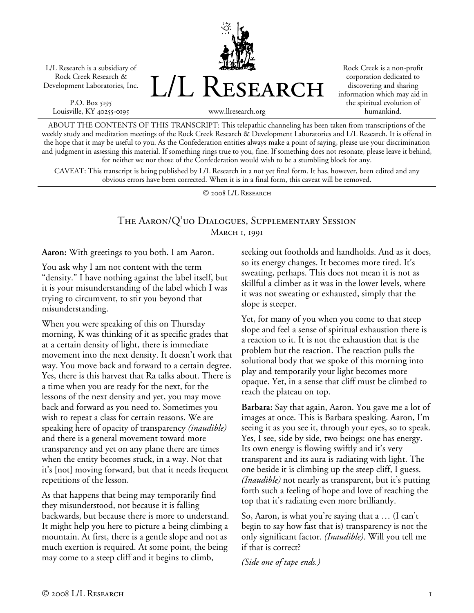L/L Research is a subsidiary of Rock Creek Research & Development Laboratories, Inc.

P.O. Box 5195 Louisville, KY 40255-0195 L/L Research

Rock Creek is a non-profit corporation dedicated to discovering and sharing information which may aid in the spiritual evolution of humankind.

www.llresearch.org

ABOUT THE CONTENTS OF THIS TRANSCRIPT: This telepathic channeling has been taken from transcriptions of the weekly study and meditation meetings of the Rock Creek Research & Development Laboratories and L/L Research. It is offered in the hope that it may be useful to you. As the Confederation entities always make a point of saying, please use your discrimination and judgment in assessing this material. If something rings true to you, fine. If something does not resonate, please leave it behind, for neither we nor those of the Confederation would wish to be a stumbling block for any.

CAVEAT: This transcript is being published by L/L Research in a not yet final form. It has, however, been edited and any obvious errors have been corrected. When it is in a final form, this caveat will be removed.

© 2008 L/L Research

# The Aaron/Q'uo Dialogues, Supplementary Session MARCH 1, 1991

**Aaron:** With greetings to you both. I am Aaron.

You ask why I am not content with the term "density." I have nothing against the label itself, but it is your misunderstanding of the label which I was trying to circumvent, to stir you beyond that misunderstanding.

When you were speaking of this on Thursday morning, K was thinking of it as specific grades that at a certain density of light, there is immediate movement into the next density. It doesn't work that way. You move back and forward to a certain degree. Yes, there is this harvest that Ra talks about. There is a time when you are ready for the next, for the lessons of the next density and yet, you may move back and forward as you need to. Sometimes you wish to repeat a class for certain reasons. We are speaking here of opacity of transparency *(inaudible)* and there is a general movement toward more transparency and yet on any plane there are times when the entity becomes stuck, in a way. Not that it's [not] moving forward, but that it needs frequent repetitions of the lesson.

As that happens that being may temporarily find they misunderstood, not because it is falling backwards, but because there is more to understand. It might help you here to picture a being climbing a mountain. At first, there is a gentle slope and not as much exertion is required. At some point, the being may come to a steep cliff and it begins to climb,

seeking out footholds and handholds. And as it does, so its energy changes. It becomes more tired. It's sweating, perhaps. This does not mean it is not as skillful a climber as it was in the lower levels, where it was not sweating or exhausted, simply that the slope is steeper.

Yet, for many of you when you come to that steep slope and feel a sense of spiritual exhaustion there is a reaction to it. It is not the exhaustion that is the problem but the reaction. The reaction pulls the solutional body that we spoke of this morning into play and temporarily your light becomes more opaque. Yet, in a sense that cliff must be climbed to reach the plateau on top.

**Barbara:** Say that again, Aaron. You gave me a lot of images at once. This is Barbara speaking. Aaron, I'm seeing it as you see it, through your eyes, so to speak. Yes, I see, side by side, two beings: one has energy. Its own energy is flowing swiftly and it's very transparent and its aura is radiating with light. The one beside it is climbing up the steep cliff, I guess. *(Inaudible)* not nearly as transparent, but it's putting forth such a feeling of hope and love of reaching the top that it's radiating even more brilliantly.

So, Aaron, is what you're saying that a … (I can't begin to say how fast that is) transparency is not the only significant factor. *(Inaudible)*. Will you tell me if that is correct?

*(Side one of tape ends.)*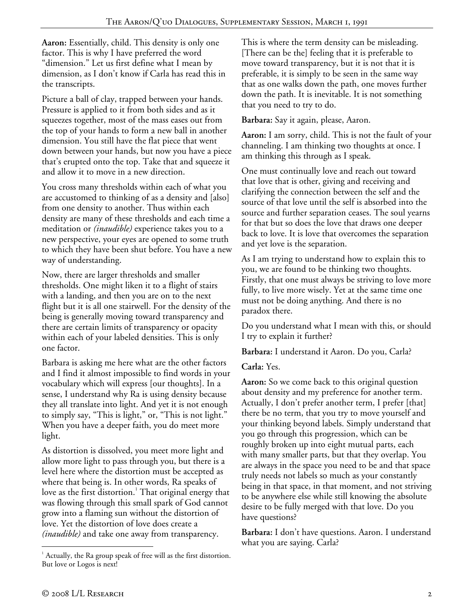**Aaron:** Essentially, child. This density is only one factor. This is why I have preferred the word "dimension." Let us first define what I mean by dimension, as I don't know if Carla has read this in the transcripts.

Picture a ball of clay, trapped between your hands. Pressure is applied to it from both sides and as it squeezes together, most of the mass eases out from the top of your hands to form a new ball in another dimension. You still have the flat piece that went down between your hands, but now you have a piece that's erupted onto the top. Take that and squeeze it and allow it to move in a new direction.

You cross many thresholds within each of what you are accustomed to thinking of as a density and [also] from one density to another. Thus within each density are many of these thresholds and each time a meditation or *(inaudible)* experience takes you to a new perspective, your eyes are opened to some truth to which they have been shut before. You have a new way of understanding.

Now, there are larger thresholds and smaller thresholds. One might liken it to a flight of stairs with a landing, and then you are on to the next flight but it is all one stairwell. For the density of the being is generally moving toward transparency and there are certain limits of transparency or opacity within each of your labeled densities. This is only one factor.

Barbara is asking me here what are the other factors and I find it almost impossible to find words in your vocabulary which will express [our thoughts]. In a sense, I understand why Ra is using density because they all translate into light. And yet it is not enough to simply say, "This is light," or, "This is not light." When you have a deeper faith, you do meet more light.

As distortion is dissolved, you meet more light and allow more light to pass through you, but there is a level here where the distortion must be accepted as where that being is. In other words, Ra speaks of love as the first distortion. $^1$  That original energy that was flowing through this small spark of God cannot grow into a flaming sun without the distortion of love. Yet the distortion of love does create a *(inaudible)* and take one away from transparency.

This is where the term density can be misleading. [There can be the] feeling that it is preferable to move toward transparency, but it is not that it is preferable, it is simply to be seen in the same way that as one walks down the path, one moves further down the path. It is inevitable. It is not something that you need to try to do.

**Barbara:** Say it again, please, Aaron.

**Aaron:** I am sorry, child. This is not the fault of your channeling. I am thinking two thoughts at once. I am thinking this through as I speak.

One must continually love and reach out toward that love that is other, giving and receiving and clarifying the connection between the self and the source of that love until the self is absorbed into the source and further separation ceases. The soul yearns for that but so does the love that draws one deeper back to love. It is love that overcomes the separation and yet love is the separation.

As I am trying to understand how to explain this to you, we are found to be thinking two thoughts. Firstly, that one must always be striving to love more fully, to live more wisely. Yet at the same time one must not be doing anything. And there is no paradox there.

Do you understand what I mean with this, or should I try to explain it further?

**Barbara:** I understand it Aaron. Do you, Carla?

**Carla:** Yes.

**Aaron:** So we come back to this original question about density and my preference for another term. Actually, I don't prefer another term, I prefer [that] there be no term, that you try to move yourself and your thinking beyond labels. Simply understand that you go through this progression, which can be roughly broken up into eight mutual parts, each with many smaller parts, but that they overlap. You are always in the space you need to be and that space truly needs not labels so much as your constantly being in that space, in that moment, and not striving to be anywhere else while still knowing the absolute desire to be fully merged with that love. Do you have questions?

**Barbara:** I don't have questions. Aaron. I understand what you are saying. Carla?

 $\overline{a}$  $1$  Actually, the Ra group speak of free will as the first distortion. But love or Logos is next!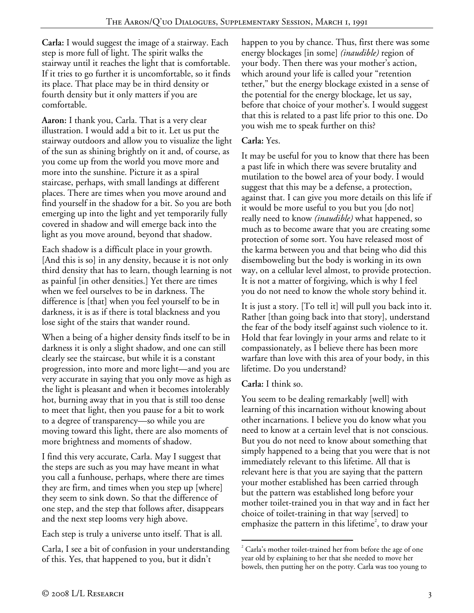**Carla:** I would suggest the image of a stairway. Each step is more full of light. The spirit walks the stairway until it reaches the light that is comfortable. If it tries to go further it is uncomfortable, so it finds its place. That place may be in third density or fourth density but it only matters if you are comfortable.

**Aaron:** I thank you, Carla. That is a very clear illustration. I would add a bit to it. Let us put the stairway outdoors and allow you to visualize the light of the sun as shining brightly on it and, of course, as you come up from the world you move more and more into the sunshine. Picture it as a spiral staircase, perhaps, with small landings at different places. There are times when you move around and find yourself in the shadow for a bit. So you are both emerging up into the light and yet temporarily fully covered in shadow and will emerge back into the light as you move around, beyond that shadow.

Each shadow is a difficult place in your growth. [And this is so] in any density, because it is not only third density that has to learn, though learning is not as painful [in other densities.] Yet there are times when we feel ourselves to be in darkness. The difference is [that] when you feel yourself to be in darkness, it is as if there is total blackness and you lose sight of the stairs that wander round.

When a being of a higher density finds itself to be in darkness it is only a slight shadow, and one can still clearly see the staircase, but while it is a constant progression, into more and more light—and you are very accurate in saying that you only move as high as the light is pleasant and when it becomes intolerably hot, burning away that in you that is still too dense to meet that light, then you pause for a bit to work to a degree of transparency—so while you are moving toward this light, there are also moments of more brightness and moments of shadow.

I find this very accurate, Carla. May I suggest that the steps are such as you may have meant in what you call a funhouse, perhaps, where there are times they are firm, and times when you step up [where] they seem to sink down. So that the difference of one step, and the step that follows after, disappears and the next step looms very high above.

Each step is truly a universe unto itself. That is all.

Carla, I see a bit of confusion in your understanding of this. Yes, that happened to you, but it didn't

happen to you by chance. Thus, first there was some energy blockages [in some] *(inaudible)* region of your body. Then there was your mother's action, which around your life is called your "retention tether," but the energy blockage existed in a sense of the potential for the energy blockage, let us say, before that choice of your mother's. I would suggest that this is related to a past life prior to this one. Do you wish me to speak further on this?

### **Carla:** Yes.

It may be useful for you to know that there has been a past life in which there was severe brutality and mutilation to the bowel area of your body. I would suggest that this may be a defense, a protection, against that. I can give you more details on this life if it would be more useful to you but you [do not] really need to know *(inaudible)* what happened, so much as to become aware that you are creating some protection of some sort. You have released most of the karma between you and that being who did this disemboweling but the body is working in its own way, on a cellular level almost, to provide protection. It is not a matter of forgiving, which is why I feel you do not need to know the whole story behind it.

It is just a story. [To tell it] will pull you back into it. Rather [than going back into that story], understand the fear of the body itself against such violence to it. Hold that fear lovingly in your arms and relate to it compassionately, as I believe there has been more warfare than love with this area of your body, in this lifetime. Do you understand?

#### **Carla:** I think so.

You seem to be dealing remarkably [well] with learning of this incarnation without knowing about other incarnations. I believe you do know what you need to know at a certain level that is not conscious. But you do not need to know about something that simply happened to a being that you were that is not immediately relevant to this lifetime. All that is relevant here is that you are saying that the pattern your mother established has been carried through but the pattern was established long before your mother toilet-trained you in that way and in fact her choice of toilet-training in that way [served] to emphasize the pattern in this lifetime<sup>2</sup>, to draw your

 $\overline{a}$  $2^{2}$  Carla's mother toilet-trained her from before the age of one year old by explaining to her that she needed to move her bowels, then putting her on the potty. Carla was too young to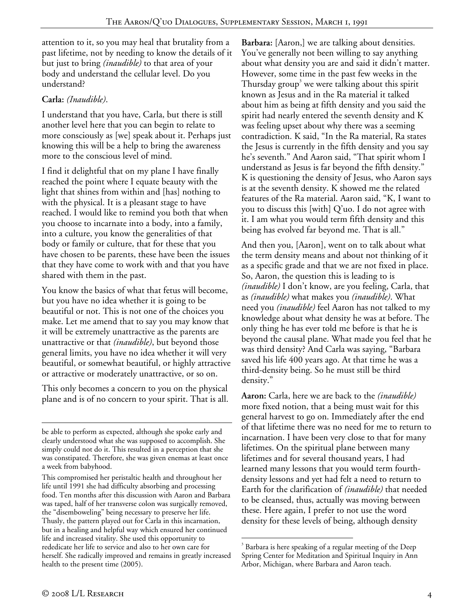attention to it, so you may heal that brutality from a past lifetime, not by needing to know the details of it but just to bring *(inaudible)* to that area of your body and understand the cellular level. Do you understand?

# **Carla:** *(Inaudible)*.

I understand that you have, Carla, but there is still another level here that you can begin to relate to more consciously as [we] speak about it. Perhaps just knowing this will be a help to bring the awareness more to the conscious level of mind.

I find it delightful that on my plane I have finally reached the point where I equate beauty with the light that shines from within and [has] nothing to with the physical. It is a pleasant stage to have reached. I would like to remind you both that when you choose to incarnate into a body, into a family, into a culture, you know the generalities of that body or family or culture, that for these that you have chosen to be parents, these have been the issues that they have come to work with and that you have shared with them in the past.

You know the basics of what that fetus will become, but you have no idea whether it is going to be beautiful or not. This is not one of the choices you make. Let me amend that to say you may know that it will be extremely unattractive as the parents are unattractive or that *(inaudible)*, but beyond those general limits, you have no idea whether it will very beautiful, or somewhat beautiful, or highly attractive or attractive or moderately unattractive, or so on.

This only becomes a concern to you on the physical plane and is of no concern to your spirit. That is all.

**Barbara:** [Aaron,] we are talking about densities. You've generally not been willing to say anything about what density you are and said it didn't matter. However, some time in the past few weeks in the Thursday group<sup>3</sup> we were talking about this spirit known as Jesus and in the Ra material it talked about him as being at fifth density and you said the spirit had nearly entered the seventh density and K was feeling upset about why there was a seeming contradiction. K said, "In the Ra material, Ra states the Jesus is currently in the fifth density and you say he's seventh." And Aaron said, "That spirit whom I understand as Jesus is far beyond the fifth density." K is questioning the density of Jesus, who Aaron says is at the seventh density. K showed me the related features of the Ra material. Aaron said, "K, I want to you to discuss this [with] Q'uo. I do not agree with it. I am what you would term fifth density and this being has evolved far beyond me. That is all."

And then you, [Aaron], went on to talk about what the term density means and about not thinking of it as a specific grade and that we are not fixed in place. So, Aaron, the question this is leading to is *(inaudible)* I don't know, are you feeling, Carla, that as *(inaudible)* what makes you *(inaudible)*. What need you *(inaudible)* feel Aaron has not talked to my knowledge about what density he was at before. The only thing he has ever told me before is that he is beyond the causal plane. What made you feel that he was third density? And Carla was saying, "Barbara saved his life 400 years ago. At that time he was a third-density being. So he must still be third density."

**Aaron:** Carla, here we are back to the *(inaudible)* more fixed notion, that a being must wait for this general harvest to go on. Immediately after the end of that lifetime there was no need for me to return to incarnation. I have been very close to that for many lifetimes. On the spiritual plane between many lifetimes and for several thousand years, I had learned many lessons that you would term fourthdensity lessons and yet had felt a need to return to Earth for the clarification of *(inaudible)* that needed to be cleansed, thus, actually was moving between these. Here again, I prefer to not use the word density for these levels of being, although density

 $\overline{a}$ 

be able to perform as expected, although she spoke early and clearly understood what she was supposed to accomplish. She simply could not do it. This resulted in a perception that she was constipated. Therefore, she was given enemas at least once a week from babyhood.

This compromised her peristaltic health and throughout her life until 1991 she had difficulty absorbing and processing food. Ten months after this discussion with Aaron and Barbara was taped, half of her transverse colon was surgically removed, the "disemboweling" being necessary to preserve her life. Thusly, the pattern played out for Carla in this incarnation, but in a healing and helpful way which ensured her continued life and increased vitality. She used this opportunity to rededicate her life to service and also to her own care for herself. She radically improved and remains in greatly increased health to the present time (2005).

 $\overline{a}$  $3$  Barbara is here speaking of a regular meeting of the Deep Spring Center for Meditation and Spiritual Inquiry in Ann Arbor, Michigan, where Barbara and Aaron teach.